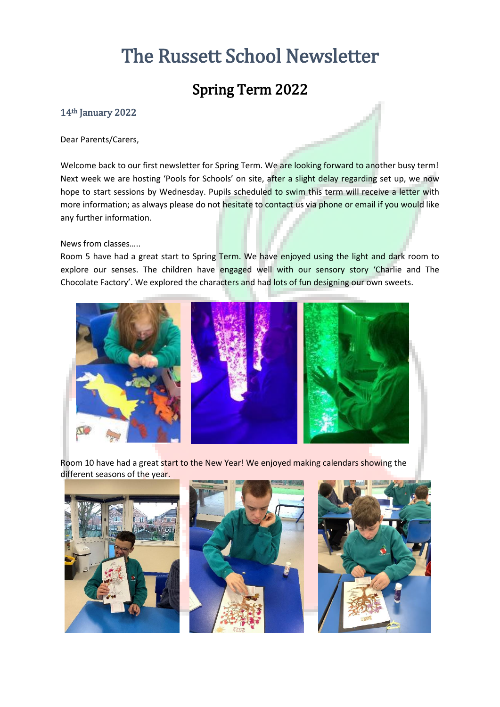# The Russett School Newsletter

# Spring Term 2022

### 14th January 2022

Dear Parents/Carers,

Welcome back to our first newsletter for Spring Term. We are looking forward to another busy term! Next week we are hosting 'Pools for Schools' on site, after a slight delay regarding set up, we now hope to start sessions by Wednesday. Pupils scheduled to swim this term will receive a letter with more information; as always please do not hesitate to contact us via phone or email if you would like any further information.

News from classes…..

Room 5 have had a great start to Spring Term. We have enjoyed using the light and dark room to explore our senses. The children have engaged well with our sensory story 'Charlie and The Chocolate Factory'. We explored the characters and had lots of fun designing our own sweets.



Room 10 have had a great start to the New Year! We enjoyed making calendars showing the different seasons of the year.

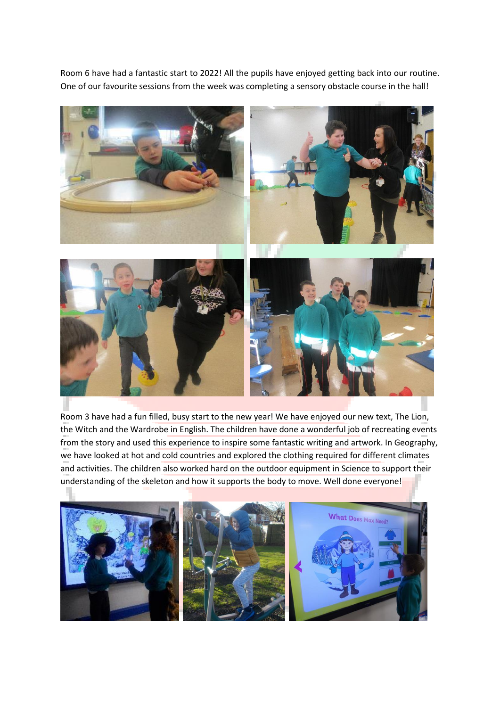Room 6 have had a fantastic start to 2022! All the pupils have enjoyed getting back into our routine. One of our favourite sessions from the week was completing a sensory obstacle course in the hall!



Room 3 have had a fun filled, busy start to the new year! We have enjoyed our new text, The Lion, the Witch and the Wardrobe in English. The children have done a wonderful job of recreating events from the story and used this experience to inspire some fantastic writing and artwork. In Geography, we have looked at hot and cold countries and explored the clothing required for different climates and activities. The children also worked hard on the outdoor equipment in Science to support their understanding of the skeleton and how it supports the body to move. Well done everyone!

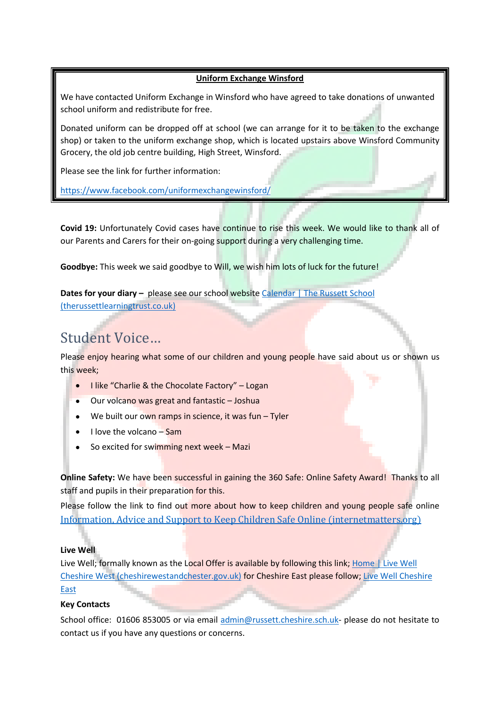#### **Uniform Exchange Winsford**

We have contacted Uniform Exchange in Winsford who have agreed to take donations of unwanted school uniform and redistribute for free.

Donated uniform can be dropped off at school (we can arrange for it to be taken to the exchange shop) or taken to the uniform exchange shop, which is located upstairs above Winsford Community Grocery, the old job centre building, High Street, Winsford.

Please see the link for further information:

<https://www.facebook.com/uniformexchangewinsford/>

**Covid 19:** Unfortunately Covid cases have continue to rise this week. We would like to thank all of our Parents and Carers for their on-going support during a very challenging time.

**Goodbye:** This week we said goodbye to Will, we wish him lots of luck for the future!

**Dates for your diary –** please see our school website [Calendar | The Russett School](https://www.therussettlearningtrust.co.uk/russett-school/parents/calendar/)  [\(therussettlearningtrust.co.uk\)](https://www.therussettlearningtrust.co.uk/russett-school/parents/calendar/)

## Student Voice…

Please enjoy hearing what some of our children and young people have said about us or shown us this week;

- I like "Charlie & the Chocolate Factory" Logan
- Our volcano was great and fantastic Joshua
- $\bullet$  We built our own ramps in science, it was fun Tyler
- $\bullet$  I love the volcano Sam
- So excited for swimming next week Mazi

**Online Safety:** We have been successful in gaining the 360 Safe: Online Safety Award! Thanks to all staff and pupils in their preparation for this.

Please follow the link to find out more about how to keep children and young people safe online [Information, Advice and Support to Keep Children Safe Online \(internetmatters.org\)](https://www.internetmatters.org/)

### **Live Well**

Live Well; formally known as the Local Offer is available by following this link; Home | Live Well [Cheshire West \(cheshirewestandchester.gov.uk\)](https://www.livewell.cheshirewestandchester.gov.uk/) for Cheshire East please follow[; Live Well Cheshire](https://www.cheshireeast.gov.uk/livewell/livewell.aspx)  [East](https://www.cheshireeast.gov.uk/livewell/livewell.aspx)

#### **Key Contacts**

School office: 01606 853005 or via email [admin@russett.cheshire.sch.uk-](mailto:admin@russett.cheshire.sch.uk) please do not hesitate to contact us if you have any questions or concerns.